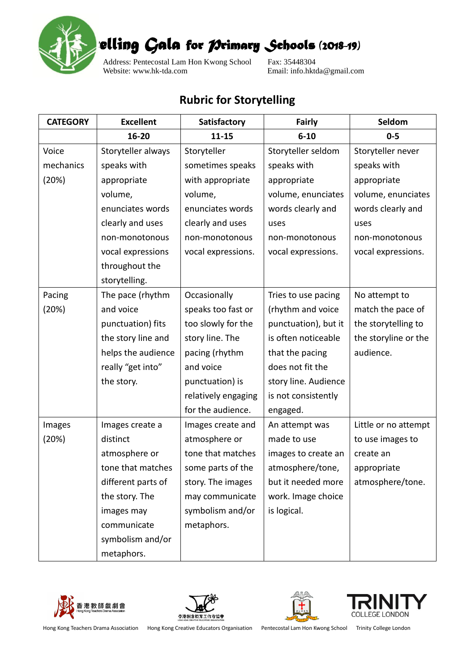

*Story-telling Gala for Primary Schools (2018-19)* 

Address: Pentecostal Lam Hon Kwong School Fax: 35448304<br>Website: www.hk-tda.com Email: info.hkt

Email: info.hktda@gmail.com

## **Rubric for Storytelling**

| <b>CATEGORY</b> | <b>Excellent</b>   | Satisfactory        | <b>Fairly</b>        | Seldom               |
|-----------------|--------------------|---------------------|----------------------|----------------------|
|                 | 16-20              | $11 - 15$           | $6 - 10$             | $0 - 5$              |
| Voice           | Storyteller always | Storyteller         | Storyteller seldom   | Storyteller never    |
| mechanics       | speaks with        | sometimes speaks    | speaks with          | speaks with          |
| (20%)           | appropriate        | with appropriate    | appropriate          | appropriate          |
|                 | volume,            | volume,             | volume, enunciates   | volume, enunciates   |
|                 | enunciates words   | enunciates words    | words clearly and    | words clearly and    |
|                 | clearly and uses   | clearly and uses    | uses                 | uses                 |
|                 | non-monotonous     | non-monotonous      | non-monotonous       | non-monotonous       |
|                 | vocal expressions  | vocal expressions.  | vocal expressions.   | vocal expressions.   |
|                 | throughout the     |                     |                      |                      |
|                 | storytelling.      |                     |                      |                      |
| Pacing          | The pace (rhythm   | Occasionally        | Tries to use pacing  | No attempt to        |
| (20%)           | and voice          | speaks too fast or  | (rhythm and voice    | match the pace of    |
|                 | punctuation) fits  | too slowly for the  | punctuation), but it | the storytelling to  |
|                 | the story line and | story line. The     | is often noticeable  | the storyline or the |
|                 | helps the audience | pacing (rhythm      | that the pacing      | audience.            |
|                 | really "get into"  | and voice           | does not fit the     |                      |
|                 | the story.         | punctuation) is     | story line. Audience |                      |
|                 |                    | relatively engaging | is not consistently  |                      |
|                 |                    | for the audience.   | engaged.             |                      |
| Images          | Images create a    | Images create and   | An attempt was       | Little or no attempt |
| (20%)           | distinct           | atmosphere or       | made to use          | to use images to     |
|                 | atmosphere or      | tone that matches   | images to create an  | create an            |
|                 | tone that matches  | some parts of the   | atmosphere/tone,     | appropriate          |
|                 | different parts of | story. The images   | but it needed more   | atmosphere/tone.     |
|                 | the story. The     | may communicate     | work. Image choice   |                      |
|                 | images may         | symbolism and/or    | is logical.          |                      |
|                 | communicate        | metaphors.          |                      |                      |
|                 | symbolism and/or   |                     |                      |                      |
|                 | metaphors.         |                     |                      |                      |









Hong Kong Teachers Drama Association Hong Kong Creative Educators Organisation Pentecostal Lam Hon Kwong School Trinity College London